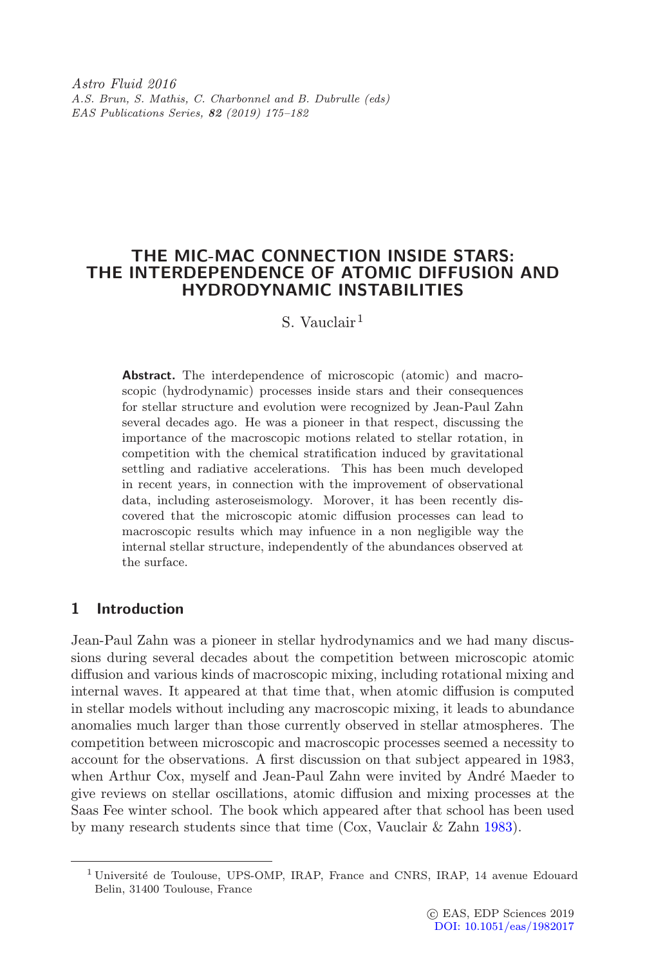Astro Fluid 2016 A.S. Brun, S. Mathis, C. Charbonnel and B. Dubrulle (eds) EAS Publications Series, 82 (2019) 175–182

# THE MIC-MAC CONNECTION INSIDE STARS: THE INTERDEPENDENCE OF ATOMIC DIFFUSION AND HYDRODYNAMIC INSTABILITIES

# S. Vauclair<sup>1</sup>

Abstract. The interdependence of microscopic (atomic) and macroscopic (hydrodynamic) processes inside stars and their consequences for stellar structure and evolution were recognized by Jean-Paul Zahn several decades ago. He was a pioneer in that respect, discussing the importance of the macroscopic motions related to stellar rotation, in competition with the chemical stratification induced by gravitational settling and radiative accelerations. This has been much developed in recent years, in connection with the improvement of observational data, including asteroseismology. Morover, it has been recently discovered that the microscopic atomic diffusion processes can lead to macroscopic results which may infuence in a non negligible way the internal stellar structure, independently of the abundances observed at the surface.

## 1 Introduction

Jean-Paul Zahn was a pioneer in stellar hydrodynamics and we had many discussions during several decades about the competition between microscopic atomic diffusion and various kinds of macroscopic mixing, including rotational mixing and internal waves. It appeared at that time that, when atomic diffusion is computed in stellar models without including any macroscopic mixing, it leads to abundance anomalies much larger than those currently observed in stellar atmospheres. The competition between microscopic and macroscopic processes seemed a necessity to account for the observations. A first discussion on that subject appeared in 1983, when Arthur Cox, myself and Jean-Paul Zahn were invited by André Maeder to give reviews on stellar oscillations, atomic diffusion and mixing processes at the Saas Fee winter school. The book which appeared after that school has been used by many research students since that time (Cox, Vauclair & Zahn [1983\)](#page-7-0).

<sup>&</sup>lt;sup>1</sup> Université de Toulouse, UPS-OMP, IRAP, France and CNRS, IRAP, 14 avenue Edouard Belin, 31400 Toulouse, France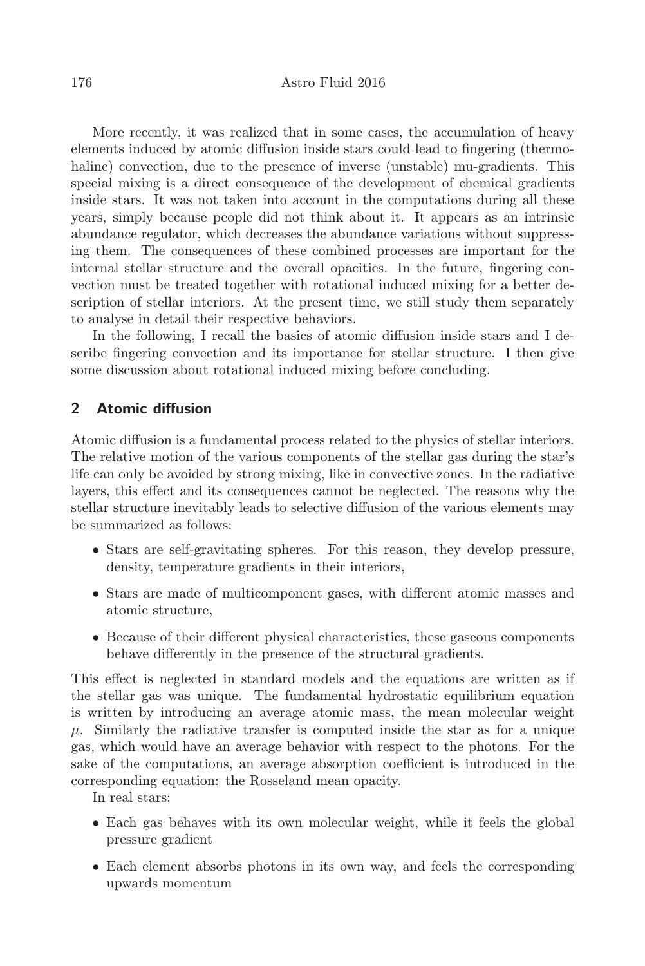More recently, it was realized that in some cases, the accumulation of heavy elements induced by atomic diffusion inside stars could lead to fingering (thermohaline) convection, due to the presence of inverse (unstable) mu-gradients. This special mixing is a direct consequence of the development of chemical gradients inside stars. It was not taken into account in the computations during all these years, simply because people did not think about it. It appears as an intrinsic abundance regulator, which decreases the abundance variations without suppressing them. The consequences of these combined processes are important for the internal stellar structure and the overall opacities. In the future, fingering convection must be treated together with rotational induced mixing for a better description of stellar interiors. At the present time, we still study them separately to analyse in detail their respective behaviors.

In the following, I recall the basics of atomic diffusion inside stars and I describe fingering convection and its importance for stellar structure. I then give some discussion about rotational induced mixing before concluding.

## 2 Atomic diffusion

Atomic diffusion is a fundamental process related to the physics of stellar interiors. The relative motion of the various components of the stellar gas during the star's life can only be avoided by strong mixing, like in convective zones. In the radiative layers, this effect and its consequences cannot be neglected. The reasons why the stellar structure inevitably leads to selective diffusion of the various elements may be summarized as follows:

- Stars are self-gravitating spheres. For this reason, they develop pressure, density, temperature gradients in their interiors,
- Stars are made of multicomponent gases, with different atomic masses and atomic structure,
- Because of their different physical characteristics, these gaseous components behave differently in the presence of the structural gradients.

This effect is neglected in standard models and the equations are written as if the stellar gas was unique. The fundamental hydrostatic equilibrium equation is written by introducing an average atomic mass, the mean molecular weight  $\mu$ . Similarly the radiative transfer is computed inside the star as for a unique gas, which would have an average behavior with respect to the photons. For the sake of the computations, an average absorption coefficient is introduced in the corresponding equation: the Rosseland mean opacity.

In real stars:

- Each gas behaves with its own molecular weight, while it feels the global pressure gradient
- Each element absorbs photons in its own way, and feels the corresponding upwards momentum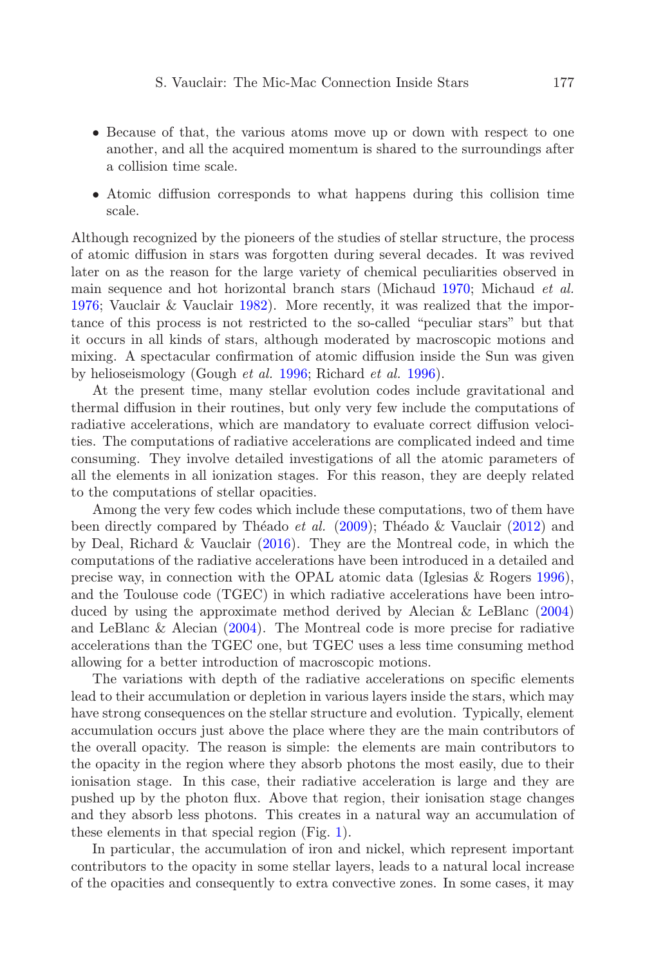- Because of that, the various atoms move up or down with respect to one another, and all the acquired momentum is shared to the surroundings after a collision time scale.
- Atomic diffusion corresponds to what happens during this collision time scale.

Although recognized by the pioneers of the studies of stellar structure, the process of atomic diffusion in stars was forgotten during several decades. It was revived later on as the reason for the large variety of chemical peculiarities observed in main sequence and hot horizontal branch stars (Michaud [1970;](#page-7-1) Michaud et al. [1976;](#page-7-2) Vauclair & Vauclair [1982\)](#page-7-3). More recently, it was realized that the importance of this process is not restricted to the so-called "peculiar stars" but that it occurs in all kinds of stars, although moderated by macroscopic motions and mixing. A spectacular confirmation of atomic diffusion inside the Sun was given by helioseismology (Gough et al. [1996;](#page-7-4) Richard et al. [1996\)](#page-7-5).

At the present time, many stellar evolution codes include gravitational and thermal diffusion in their routines, but only very few include the computations of radiative accelerations, which are mandatory to evaluate correct diffusion velocities. The computations of radiative accelerations are complicated indeed and time consuming. They involve detailed investigations of all the atomic parameters of all the elements in all ionization stages. For this reason, they are deeply related to the computations of stellar opacities.

Among the very few codes which include these computations, two of them have been directly compared by Théado et al.  $(2009)$ ; Théado & Vauclair  $(2012)$  and by Deal, Richard & Vauclair [\(2016\)](#page-7-8). They are the Montreal code, in which the computations of the radiative accelerations have been introduced in a detailed and precise way, in connection with the OPAL atomic data (Iglesias & Rogers [1996\)](#page-7-9), and the Toulouse code (TGEC) in which radiative accelerations have been introduced by using the approximate method derived by Alecian & LeBlanc [\(2004\)](#page-7-10) and LeBlanc & Alecian [\(2004\)](#page-7-11). The Montreal code is more precise for radiative accelerations than the TGEC one, but TGEC uses a less time consuming method allowing for a better introduction of macroscopic motions.

The variations with depth of the radiative accelerations on specific elements lead to their accumulation or depletion in various layers inside the stars, which may have strong consequences on the stellar structure and evolution. Typically, element accumulation occurs just above the place where they are the main contributors of the overall opacity. The reason is simple: the elements are main contributors to the opacity in the region where they absorb photons the most easily, due to their ionisation stage. In this case, their radiative acceleration is large and they are pushed up by the photon flux. Above that region, their ionisation stage changes and they absorb less photons. This creates in a natural way an accumulation of these elements in that special region (Fig. [1\)](#page-3-0).

In particular, the accumulation of iron and nickel, which represent important contributors to the opacity in some stellar layers, leads to a natural local increase of the opacities and consequently to extra convective zones. In some cases, it may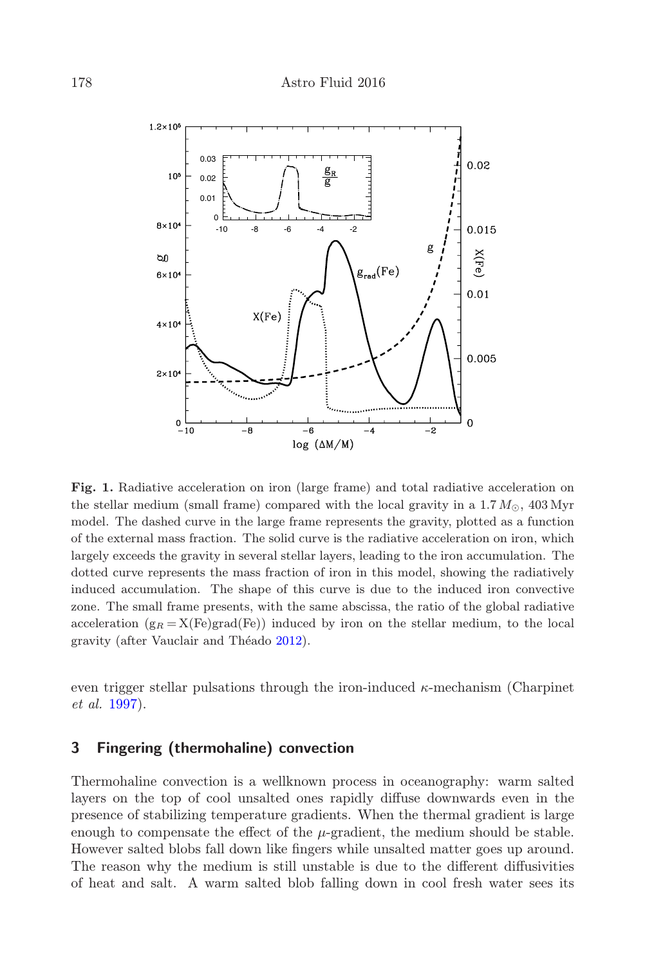

<span id="page-3-0"></span>Fig. 1. Radiative acceleration on iron (large frame) and total radiative acceleration on the stellar medium (small frame) compared with the local gravity in a  $1.7 M_{\odot}$ ,  $403 \,\mathrm{Myr}$ model. The dashed curve in the large frame represents the gravity, plotted as a function of the external mass fraction. The solid curve is the radiative acceleration on iron, which largely exceeds the gravity in several stellar layers, leading to the iron accumulation. The dotted curve represents the mass fraction of iron in this model, showing the radiatively induced accumulation. The shape of this curve is due to the induced iron convective zone. The small frame presents, with the same abscissa, the ratio of the global radiative acceleration  $(g_R = X(Fe)grad(Fe))$  induced by iron on the stellar medium, to the local gravity (after Vauclair and Théado [2012\)](#page-7-12).

even trigger stellar pulsations through the iron-induced  $\kappa$ -mechanism (Charpinet et al. [1997\)](#page-7-13).

### 3 Fingering (thermohaline) convection

Thermohaline convection is a wellknown process in oceanography: warm salted layers on the top of cool unsalted ones rapidly diffuse downwards even in the presence of stabilizing temperature gradients. When the thermal gradient is large enough to compensate the effect of the  $\mu$ -gradient, the medium should be stable. However salted blobs fall down like fingers while unsalted matter goes up around. The reason why the medium is still unstable is due to the different diffusivities of heat and salt. A warm salted blob falling down in cool fresh water sees its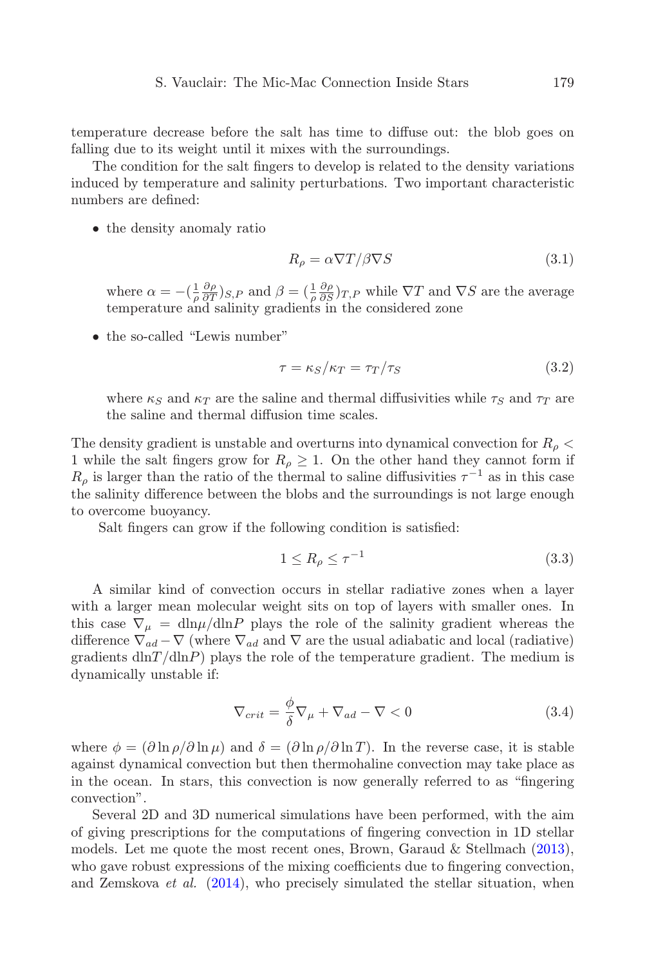temperature decrease before the salt has time to diffuse out: the blob goes on falling due to its weight until it mixes with the surroundings.

The condition for the salt fingers to develop is related to the density variations induced by temperature and salinity perturbations. Two important characteristic numbers are defined:

• the density anomaly ratio

$$
R_{\rho} = \alpha \nabla T / \beta \nabla S \tag{3.1}
$$

where  $\alpha = -(\frac{1}{\rho} \frac{\partial \rho}{\partial T})_{S,P}$  and  $\beta = (\frac{1}{\rho} \frac{\partial \rho}{\partial S})_{T,P}$  while  $\nabla T$  and  $\nabla S$  are the average temperature and salinity gradients in the considered zone

• the so-called "Lewis number"

$$
\tau = \kappa_S / \kappa_T = \tau_T / \tau_S \tag{3.2}
$$

where  $\kappa_S$  and  $\kappa_T$  are the saline and thermal diffusivities while  $\tau_S$  and  $\tau_T$  are the saline and thermal diffusion time scales.

The density gradient is unstable and overturns into dynamical convection for  $R_{\rho}$  < 1 while the salt fingers grow for  $R_\rho \geq 1$ . On the other hand they cannot form if  $R_{\rho}$  is larger than the ratio of the thermal to saline diffusivities  $\tau^{-1}$  as in this case the salinity difference between the blobs and the surroundings is not large enough to overcome buoyancy.

Salt fingers can grow if the following condition is satisfied:

$$
1 \le R_{\rho} \le \tau^{-1} \tag{3.3}
$$

A similar kind of convection occurs in stellar radiative zones when a layer with a larger mean molecular weight sits on top of layers with smaller ones. In this case  $\nabla_{\mu} = \frac{d \ln \mu}{d \ln P}$  plays the role of the salinity gradient whereas the difference  $\nabla_{ad} - \nabla$  (where  $\nabla_{ad}$  and  $\nabla$  are the usual adiabatic and local (radiative) gradients  $dln(T/dlnP)$  plays the role of the temperature gradient. The medium is dynamically unstable if:

$$
\nabla_{crit} = \frac{\phi}{\delta} \nabla_{\mu} + \nabla_{ad} - \nabla < 0 \tag{3.4}
$$

where  $\phi = (\partial \ln \rho / \partial \ln \mu)$  and  $\delta = (\partial \ln \rho / \partial \ln T)$ . In the reverse case, it is stable against dynamical convection but then thermohaline convection may take place as in the ocean. In stars, this convection is now generally referred to as "fingering convection".

Several 2D and 3D numerical simulations have been performed, with the aim of giving prescriptions for the computations of fingering convection in 1D stellar models. Let me quote the most recent ones, Brown, Garaud & Stellmach [\(2013\)](#page-7-14), who gave robust expressions of the mixing coefficients due to fingering convection, and Zemskova *et al.*  $(2014)$ , who precisely simulated the stellar situation, when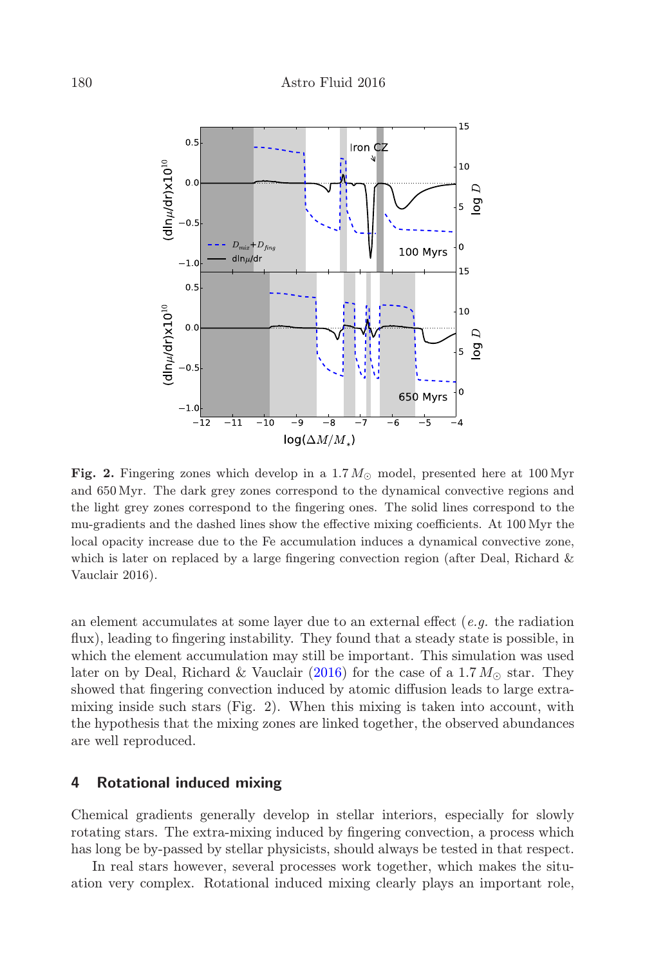

Fig. 2. Fingering zones which develop in a 1.7  $M_{\odot}$  model, presented here at 100 Myr and 650 Myr. The dark grey zones correspond to the dynamical convective regions and the light grey zones correspond to the fingering ones. The solid lines correspond to the mu-gradients and the dashed lines show the effective mixing coefficients. At 100 Myr the local opacity increase due to the Fe accumulation induces a dynamical convective zone, which is later on replaced by a large fingering convection region (after Deal, Richard  $\&$ Vauclair 2016).

an element accumulates at some layer due to an external effect  $(e.g.$  the radiation flux), leading to fingering instability. They found that a steady state is possible, in which the element accumulation may still be important. This simulation was used later on by Deal, Richard & Vauclair [\(2016\)](#page-7-8) for the case of a 1.7  $M_{\odot}$  star. They showed that fingering convection induced by atomic diffusion leads to large extramixing inside such stars (Fig. 2). When this mixing is taken into account, with the hypothesis that the mixing zones are linked together, the observed abundances are well reproduced.

#### 4 Rotational induced mixing

Chemical gradients generally develop in stellar interiors, especially for slowly rotating stars. The extra-mixing induced by fingering convection, a process which has long be by-passed by stellar physicists, should always be tested in that respect.

In real stars however, several processes work together, which makes the situation very complex. Rotational induced mixing clearly plays an important role,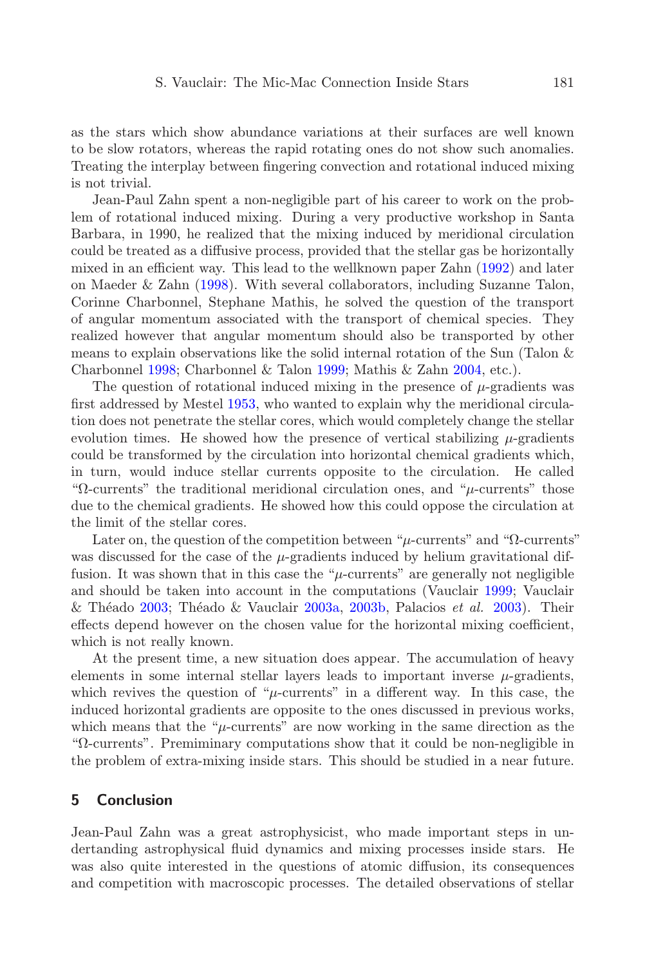as the stars which show abundance variations at their surfaces are well known to be slow rotators, whereas the rapid rotating ones do not show such anomalies. Treating the interplay between fingering convection and rotational induced mixing is not trivial.

Jean-Paul Zahn spent a non-negligible part of his career to work on the problem of rotational induced mixing. During a very productive workshop in Santa Barbara, in 1990, he realized that the mixing induced by meridional circulation could be treated as a diffusive process, provided that the stellar gas be horizontally mixed in an efficient way. This lead to the wellknown paper Zahn [\(1992\)](#page-7-16) and later on Maeder & Zahn [\(1998\)](#page-7-17). With several collaborators, including Suzanne Talon, Corinne Charbonnel, Stephane Mathis, he solved the question of the transport of angular momentum associated with the transport of chemical species. They realized however that angular momentum should also be transported by other means to explain observations like the solid internal rotation of the Sun (Talon & Charbonnel [1998;](#page-7-18) Charbonnel & Talon [1999;](#page-7-19) Mathis & Zahn [2004,](#page-7-20) etc.).

The question of rotational induced mixing in the presence of  $\mu$ -gradients was first addressed by Mestel [1953,](#page-7-21) who wanted to explain why the meridional circulation does not penetrate the stellar cores, which would completely change the stellar evolution times. He showed how the presence of vertical stabilizing  $\mu$ -gradients could be transformed by the circulation into horizontal chemical gradients which, in turn, would induce stellar currents opposite to the circulation. He called "Ω-currents" the traditional meridional circulation ones, and "µ-currents" those due to the chemical gradients. He showed how this could oppose the circulation at the limit of the stellar cores.

Later on, the question of the competition between " $\mu$ -currents" and " $\Omega$ -currents" was discussed for the case of the  $\mu$ -gradients induced by helium gravitational diffusion. It was shown that in this case the " $\mu$ -currents" are generally not negligible and should be taken into account in the computations (Vauclair [1999;](#page-7-22) Vauclair & Théado [2003;](#page-7-23) Théado & Vauclair [2003a,](#page-7-24) [2003b,](#page-7-25) Palacios et al. [2003\)](#page-7-26). Their effects depend however on the chosen value for the horizontal mixing coefficient, which is not really known.

At the present time, a new situation does appear. The accumulation of heavy elements in some internal stellar layers leads to important inverse  $\mu$ -gradients, which revives the question of " $\mu$ -currents" in a different way. In this case, the induced horizontal gradients are opposite to the ones discussed in previous works, which means that the " $\mu$ -currents" are now working in the same direction as the "Ω-currents". Premiminary computations show that it could be non-negligible in the problem of extra-mixing inside stars. This should be studied in a near future.

#### 5 Conclusion

Jean-Paul Zahn was a great astrophysicist, who made important steps in undertanding astrophysical fluid dynamics and mixing processes inside stars. He was also quite interested in the questions of atomic diffusion, its consequences and competition with macroscopic processes. The detailed observations of stellar